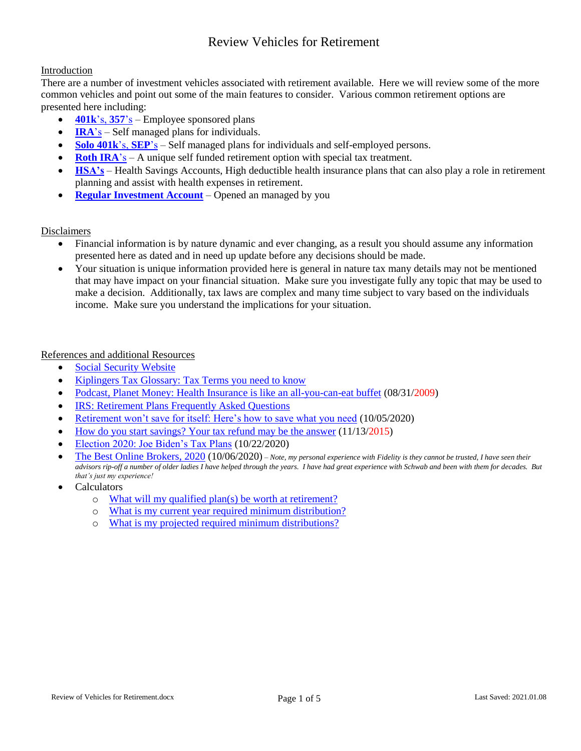#### Introduction

There are a number of investment vehicles associated with retirement available. Here we will review some of the more common vehicles and point out some of the main features to consider. Various common retirement options are presented here including:

- **[401k](#page-1-0)**'s, **357**'s Employee sponsored plans
- **[IRA](#page-1-1)**'s Self managed plans for individuals.
- **[Solo 401k](#page-2-0)**'s, **SEP**'s Self managed plans for individuals and self-employed persons.
- **[Roth IRA](#page-2-1)**'s A unique self funded retirement option with special tax treatment.
- **[HSA's](#page-3-0)** Health Savings Accounts, High deductible health insurance plans that can also play a role in retirement planning and assist with health expenses in retirement.
- **[Regular Investment Account](https://www.kiplinger.com/slideshow/taxes/t055-s001-2020-election-joe-biden-s-tax-plans/index.html)** Opened an managed by you

#### Disclaimers

- Financial information is by nature dynamic and ever changing, as a result you should assume any information presented here as dated and in need up update before any decisions should be made.
- Your situation is unique information provided here is general in nature tax many details may not be mentioned that may have impact on your financial situation. Make sure you investigate fully any topic that may be used to make a decision. Additionally, tax laws are complex and many time subject to vary based on the individuals income. Make sure you understand the implications for your situation.

#### References and additional Resources

- [Social Security Website](https://www.ssa.gov/)
- [Kiplingers Tax Glossary: Tax Terms you need to know](https://www.kiplinger.com/article/taxes/t054-c000-s001-kiplinger-s-tax-glossary-tax-terms-you-need-to-kno.html)
- [Podcast, Planet Money: Health Insurance](https://www.npr.org/sections/money/2009/08/podcast_health_insurance_is_li.html) is like an all-you-can-eat buffet (08/31/2009)
- [IRS: Retirement Plans Frequently Asked Questions](https://www.irs.gov/retirement-plans/retirement-plans-frequently-asked-questions-faqs)
- [Retirement won't save for itself: Here's how to save what you need](https://www.npr.org/2020/10/02/919494281/retirement-wont-save-for-itself-here-s-how-to-save-what-you-need) (10/05/2020)
- [How do you start savings? Your tax refund may be the answer](https://www.npr.org/2015/11/13/455798610/how-do-you-start-saving-your-tax-refund-may-be-the-answer) (11/13/2015)
- [Election 2020: Joe Biden's Tax Plans](https://www.kiplinger.com/taxes/601524/will-joe-biden-raise-your-taxes) (10/22/2020)
- [The Best Online Brokers, 2020](https://www.kiplinger.com/investing/wealth-management/online-brokers/601258/the-best-online-brokers-2020) (10/06/2020) *Note, my personal experience with Fidelity is they cannot be trusted, I have seen their advisors rip-off a number of older ladies I have helped through the years. I have had great experience with Schwab and been with them for decades. But that's just my experience!*
- Calculators
	- o [What will my qualified plan\(s\) be worth at retirement?](https://www.calcxml.com/do/qua05?lang=en)
	- o [What is my current year required minimum distribution?](https://www.calcxml.com/do/qua06?lang=en)
	- o [What is my projected required minimum distributions?](https://www.calcxml.com/do/qua07?lang=en)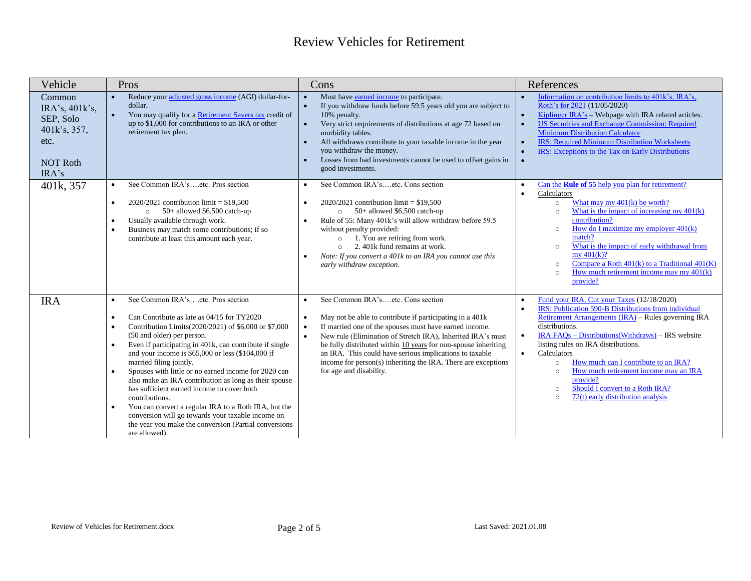<span id="page-1-1"></span><span id="page-1-0"></span>

| Vehicle                                                                                   | Pros                                                                                                                                                                                                                                                                                                                                                                                                                                                                                                                                                                                                                                                                                                                                                       | Cons                                                                                                                                                                                                                                                                                                                                                                                                                                                                                   | References                                                                                                                                                                                                                                                                                                                                                                                                                                                                                                                                        |
|-------------------------------------------------------------------------------------------|------------------------------------------------------------------------------------------------------------------------------------------------------------------------------------------------------------------------------------------------------------------------------------------------------------------------------------------------------------------------------------------------------------------------------------------------------------------------------------------------------------------------------------------------------------------------------------------------------------------------------------------------------------------------------------------------------------------------------------------------------------|----------------------------------------------------------------------------------------------------------------------------------------------------------------------------------------------------------------------------------------------------------------------------------------------------------------------------------------------------------------------------------------------------------------------------------------------------------------------------------------|---------------------------------------------------------------------------------------------------------------------------------------------------------------------------------------------------------------------------------------------------------------------------------------------------------------------------------------------------------------------------------------------------------------------------------------------------------------------------------------------------------------------------------------------------|
| Common<br>IRA's, 401k's,<br>SEP, Solo<br>401k's, 357,<br>etc.<br><b>NOT Roth</b><br>IRA's | Reduce your adjusted gross income (AGI) dollar-for-<br>$\bullet$<br>dollar.<br>You may qualify for a Retirement Savers tax credit of<br>$\bullet$<br>up to \$1,000 for contributions to an IRA or other<br>retirement tax plan.                                                                                                                                                                                                                                                                                                                                                                                                                                                                                                                            | Must have earned income to participate.<br>$\bullet$<br>If you withdraw funds before 59.5 years old you are subject to<br>$\bullet$<br>10% penalty.<br>Very strict requirements of distributions at age 72 based on<br>$\bullet$<br>morbidity tables.<br>All withdraws contribute to your taxable income in the year<br>$\bullet$<br>you withdraw the money.<br>Losses from bad investments cannot be used to offset gains in<br>$\bullet$<br>good investments.                        | Information on contribution limits to 401k's, IRA's,<br>Roth's for 2021 (11/05/2020)<br>Kiplinger $IRA's$ – Webpage with IRA related articles.<br><b>US Securities and Exchange Commission: Required</b><br><b>Minimum Distribution Calculator</b><br><b>IRS: Required Minimum Distribution Worksheets</b><br>IRS: Exceptions to the Tax on Early Distributions<br>$\bullet$                                                                                                                                                                      |
| 401k, 357                                                                                 | See Common IRA'setc. Pros section<br>$\bullet$<br>$2020/2021$ contribution limit = \$19,500<br>$\bullet$<br>$50+$ allowed \$6,500 catch-up<br>$\circ$<br>Usually available through work.<br>Business may match some contributions; if so<br>$\bullet$<br>contribute at least this amount each year.                                                                                                                                                                                                                                                                                                                                                                                                                                                        | See Common IRA'setc. Cons section<br>$\bullet$<br>$2020/2021$ contribution limit = \$19,500<br>$\bullet$<br>$50+$ allowed \$6,500 catch-up<br>$\circ$<br>Rule of 55: Many 401k's will allow withdraw before 59.5<br>$\bullet$<br>without penalty provided:<br>1. You are retiring from work.<br>$\circ$<br>2.401k fund remains at work.<br>$\circ$<br>Note: If you convert a 401k to an IRA you cannot use this<br>$\bullet$<br>early withdraw exception.                              | Can the <b>Rule of 55</b> help you plan for retirement?<br>Calculators<br>$\bullet$<br>What may my $401(k)$ be worth?<br>$\circ$<br>What is the impact of increasing my $401(k)$<br>$\circ$<br>contribution?<br>How do I maximize my employer $401(k)$<br>$\circ$<br>match?<br>What is the impact of early withdrawal from<br>$\circ$<br>$mv\ 401(k)?$<br>Compare a Roth $401(k)$ to a Traditional $401(K)$<br>$\circ$<br>How much retirement income may my $401(k)$<br>$\circ$<br>provide?                                                       |
| <b>IRA</b>                                                                                | See Common IRA'setc. Pros section<br>$\bullet$<br>Can Contribute as late as 04/15 for TY2020<br>$\bullet$<br>Contribution Limits(2020/2021) of \$6,000 or \$7,000<br>(50 and older) per person.<br>Even if participating in 401k, can contribute if single<br>$\bullet$<br>and your income is $$65,000$ or less $$104,000$ if<br>married filing jointly.<br>Spouses with little or no earned income for 2020 can<br>$\bullet$<br>also make an IRA contribution as long as their spouse<br>has sufficient earned income to cover both<br>contributions.<br>You can convert a regular IRA to a Roth IRA, but the<br>$\bullet$<br>conversion will go towards your taxable income on<br>the year you make the conversion (Partial conversions<br>are allowed). | See Common IRA'setc. Cons section<br>$\bullet$<br>May not be able to contribute if participating in a 401k<br>$\bullet$<br>If married one of the spouses must have earned income.<br>$\bullet$<br>New rule (Elimination of Stretch IRA), Inherited IRA's must<br>be fully distributed within 10 years for non-spouse inheriting<br>an IRA. This could have serious implications to taxable<br>income for person(s) inheriting the IRA. There are exceptions<br>for age and disability. | Fund your IRA, Cut your Taxes (12/18/2020)<br>IRS: Publication 590-B Distributions from individual<br>$\bullet$<br>Retirement Arrangements (IRA) – Rules governing IRA<br>distributions.<br>$IRA FAOs - Distributions(With draws) - IRS website$<br>$\bullet$<br>listing rules on IRA distributions.<br>Calculators<br>$\bullet$<br>How much can I contribute to an IRA?<br>$\circ$<br>How much retirement income may an IRA<br>$\circ$<br>provide?<br>Should I convert to a Roth IRA?<br>$\circ$<br>72(t) early distribution analysis<br>$\circ$ |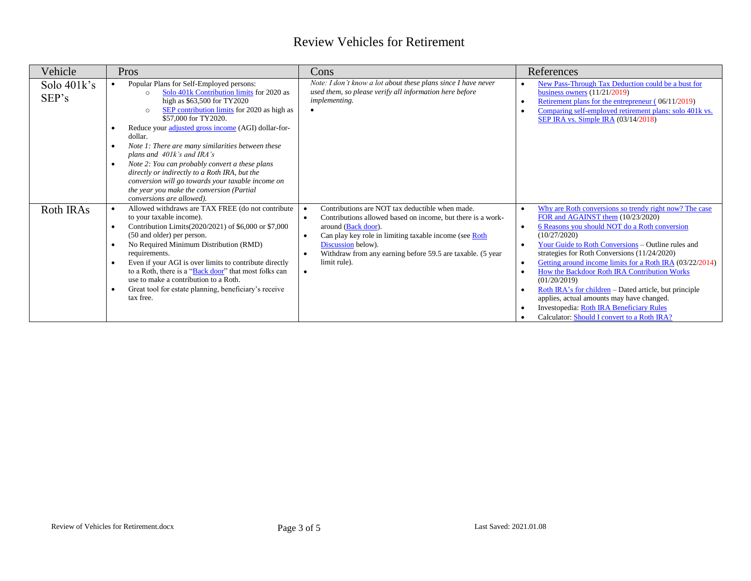<span id="page-2-1"></span><span id="page-2-0"></span>

| Vehicle              | Pros                                                                                                                                                                                                                                                                                                                                                                                                                                                                                                                                                                                                                 | Cons                                                                                                                                                                                                                                                                                                | References                                                                                                                                                                                                                                                                                                                                                                                                                                                                                                                                                                                                                 |
|----------------------|----------------------------------------------------------------------------------------------------------------------------------------------------------------------------------------------------------------------------------------------------------------------------------------------------------------------------------------------------------------------------------------------------------------------------------------------------------------------------------------------------------------------------------------------------------------------------------------------------------------------|-----------------------------------------------------------------------------------------------------------------------------------------------------------------------------------------------------------------------------------------------------------------------------------------------------|----------------------------------------------------------------------------------------------------------------------------------------------------------------------------------------------------------------------------------------------------------------------------------------------------------------------------------------------------------------------------------------------------------------------------------------------------------------------------------------------------------------------------------------------------------------------------------------------------------------------------|
| Solo 401k's<br>SEP's | Popular Plans for Self-Employed persons:<br>$\bullet$<br>Solo 401k Contribution limits for 2020 as<br>$\cap$<br>high as \$63,500 for TY2020<br>SEP contribution limits for 2020 as high as<br>$\circ$<br>\$57,000 for TY2020.<br>Reduce your adjusted gross income (AGI) dollar-for-<br>dollar.<br>Note 1: There are many similarities between these<br>plans and 401k's and IRA's<br>Note 2: You can probably convert a these plans<br>directly or indirectly to a Roth IRA, but the<br>conversion will go towards your taxable income on<br>the year you make the conversion (Partial<br>conversions are allowed). | Note: I don't know a lot about these plans since I have never<br>used them, so please verify all information here before<br>implementing.                                                                                                                                                           | New Pass-Through Tax Deduction could be a bust for<br>$\bullet$<br>business owners $(11/21/2019)$<br>Retirement plans for the entrepreneur (06/11/2019)<br>Comparing self-employed retirement plans: solo 401k vs.<br>SEP IRA vs. Simple IRA (03/14/2018)                                                                                                                                                                                                                                                                                                                                                                  |
| Roth IRAs            | Allowed withdraws are TAX FREE (do not contribute<br>$\bullet$<br>to your taxable income).<br>Contribution Limits(2020/2021) of \$6,000 or \$7,000<br>(50 and older) per person.<br>No Required Minimum Distribution (RMD)<br>requirements.<br>Even if your AGI is over limits to contribute directly<br>to a Roth, there is a "Back door" that most folks can<br>use to make a contribution to a Roth.<br>Great tool for estate planning, beneficiary's receive<br>tax free.                                                                                                                                        | Contributions are NOT tax deductible when made.<br>Contributions allowed based on income, but there is a work-<br>around (Back door).<br>Can play key role in limiting taxable income (see Roth<br>Discussion below).<br>Withdraw from any earning before 59.5 are taxable. (5 year<br>limit rule). | Why are Roth conversions so trendy right now? The case<br>$\bullet$<br>FOR and AGAINST them (10/23/2020)<br>6 Reasons you should NOT do a Roth conversion<br>(10/27/2020)<br>Your Guide to Roth Conversions - Outline rules and<br>$\bullet$<br>strategies for Roth Conversions (11/24/2020)<br>Getting around income limits for a Roth IRA (03/22/2014)<br>How the Backdoor Roth IRA Contribution Works<br>(01/20/2019)<br>Roth IRA's for children – Dated article, but principle<br>applies, actual amounts may have changed.<br>Investopedia: Roth IRA Beneficiary Rules<br>Calculator: Should I convert to a Roth IRA? |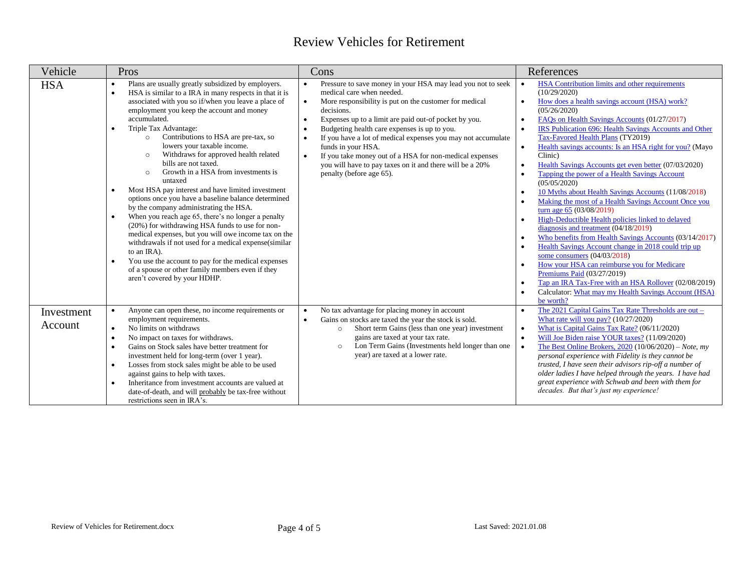<span id="page-3-0"></span>

| Vehicle               | Pros                                                                                                                                                                                                                                                                                                                                                                                                                                                                                                                                                                                                                                                                                                                                                                                                                                                                                                                                                                                                                                                                                                         | Cons                                                                                                                                                                                                                                                                                                                                                                                                                                                                                                                                                                   | References                                                                                                                                                                                                                                                                                                                                                                                                                                                                                                                                                                                                                                                                                                                                                                                                                                                                                                                                                                                                                                                                                                                                                                                              |
|-----------------------|--------------------------------------------------------------------------------------------------------------------------------------------------------------------------------------------------------------------------------------------------------------------------------------------------------------------------------------------------------------------------------------------------------------------------------------------------------------------------------------------------------------------------------------------------------------------------------------------------------------------------------------------------------------------------------------------------------------------------------------------------------------------------------------------------------------------------------------------------------------------------------------------------------------------------------------------------------------------------------------------------------------------------------------------------------------------------------------------------------------|------------------------------------------------------------------------------------------------------------------------------------------------------------------------------------------------------------------------------------------------------------------------------------------------------------------------------------------------------------------------------------------------------------------------------------------------------------------------------------------------------------------------------------------------------------------------|---------------------------------------------------------------------------------------------------------------------------------------------------------------------------------------------------------------------------------------------------------------------------------------------------------------------------------------------------------------------------------------------------------------------------------------------------------------------------------------------------------------------------------------------------------------------------------------------------------------------------------------------------------------------------------------------------------------------------------------------------------------------------------------------------------------------------------------------------------------------------------------------------------------------------------------------------------------------------------------------------------------------------------------------------------------------------------------------------------------------------------------------------------------------------------------------------------|
| <b>HSA</b>            | Plans are usually greatly subsidized by employers.<br>$\bullet$<br>HSA is similar to a IRA in many respects in that it is<br>$\bullet$<br>associated with you so if/when you leave a place of<br>employment you keep the account and money<br>accumulated.<br>Triple Tax Advantage:<br>$\bullet$<br>Contributions to HSA are pre-tax, so<br>$\circ$<br>lowers your taxable income.<br>Withdraws for approved health related<br>$\circ$<br>bills are not taxed.<br>Growth in a HSA from investments is<br>$\circ$<br>untaxed<br>Most HSA pay interest and have limited investment<br>$\bullet$<br>options once you have a baseline balance determined<br>by the company administrating the HSA.<br>When you reach age 65, there's no longer a penalty<br>$\bullet$<br>(20%) for withdrawing HSA funds to use for non-<br>medical expenses, but you will owe income tax on the<br>withdrawals if not used for a medical expense(similar<br>to an IRA).<br>You use the account to pay for the medical expenses<br>$\bullet$<br>of a spouse or other family members even if they<br>aren't covered by your HDHP. | Pressure to save money in your HSA may lead you not to seek<br>medical care when needed.<br>More responsibility is put on the customer for medical<br>decisions.<br>Expenses up to a limit are paid out-of pocket by you.<br>$\bullet$<br>Budgeting health care expenses is up to you.<br>$\bullet$<br>If you have a lot of medical expenses you may not accumulate<br>$\bullet$<br>funds in your HSA.<br>If you take money out of a HSA for non-medical expenses<br>$\bullet$<br>you will have to pay taxes on it and there will be a 20%<br>penalty (before age 65). | HSA Contribution limits and other requirements<br>$\bullet$<br>(10/29/2020)<br>How does a health savings account (HSA) work?<br>$\bullet$<br>(05/26/2020)<br>FAQs on Health Savings Accounts (01/27/2017)<br>$\bullet$<br>IRS Publication 696: Health Savings Accounts and Other<br>$\bullet$<br>Tax-Favored Health Plans (TY2019)<br>Health savings accounts: Is an HSA right for you? (Mayo<br>$\bullet$<br>Clinic)<br>Health Savings Accounts get even better (07/03/2020)<br>$\bullet$<br>Tapping the power of a Health Savings Account<br>$\bullet$<br>(05/05/2020)<br>10 Myths about Health Savings Accounts (11/08/2018)<br>$\bullet$<br>Making the most of a Health Savings Account Once you<br>turn age 65 (03/08/2019)<br>High-Deductible Health policies linked to delayed<br>diagnosis and treatment $(04/18/2019)$<br>Who benefits from Health Savings Accounts (03/14/2017)<br>$\bullet$<br>Health Savings Account change in 2018 could trip up<br>some consumers (04/03/2018)<br>How your HSA can reimburse you for Medicare<br>Premiums Paid (03/27/2019)<br>Tap an IRA Tax-Free with an HSA Rollover (02/08/2019)<br>Calculator: What may my Health Savings Account (HSA)<br>be worth? |
| Investment<br>Account | Anyone can open these, no income requirements or<br>$\bullet$<br>employment requirements.<br>No limits on withdraws<br>$\bullet$<br>No impact on taxes for withdraws.<br>$\bullet$<br>Gains on Stock sales have better treatment for<br>$\bullet$<br>investment held for long-term (over 1 year).<br>Losses from stock sales might be able to be used<br>$\bullet$<br>against gains to help with taxes.<br>Inheritance from investment accounts are valued at<br>$\bullet$<br>date-of-death, and will probably be tax-free without<br>restrictions seen in IRA's.                                                                                                                                                                                                                                                                                                                                                                                                                                                                                                                                            | No tax advantage for placing money in account<br>Gains on stocks are taxed the year the stock is sold.<br>$\bullet$<br>Short term Gains (less than one year) investment<br>$\circ$<br>gains are taxed at your tax rate.<br>Lon Term Gains (Investments held longer than one<br>$\circ$<br>year) are taxed at a lower rate.                                                                                                                                                                                                                                             | The 2021 Capital Gains Tax Rate Thresholds are out -<br>What rate will you pay? $(10/27/2020)$<br>What is Capital Gains Tax Rate? (06/11/2020)<br>$\bullet$<br>Will Joe Biden raise YOUR taxes? (11/09/2020)<br>$\bullet$<br>The Best Online Brokers, $2020(10/06/2020) - Note$ , my<br>personal experience with Fidelity is they cannot be<br>trusted, I have seen their advisors rip-off a number of<br>older ladies I have helped through the years. I have had<br>great experience with Schwab and been with them for<br>decades. But that's just my experience!                                                                                                                                                                                                                                                                                                                                                                                                                                                                                                                                                                                                                                    |